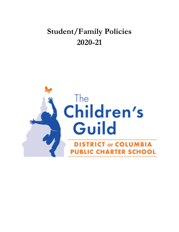# **Student/Family Policies 2020-21**

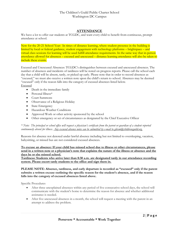# **ATTENDANCE**

We have a lot to offer our students at TCGDC, and want every child to benefit from continuous, prompt attendance at school.

New for the 20-21 School Year: In times of distance learning, where student presence in the building is limited by local or federal guidance, student engagement with technology platforms – brightspace – and virtual class sessions for learning will be used fulfill attendance requirements. In the same way that in-person attendance allowed for absences – excused and unexcused – distance learning attendance will also be taken to include these events.

Excused and Unexcused Absences: TCGDC's distinguishes between excused and unexcused absences. The number of absences and incidents of tardiness will be noted on progress reports. Please call the school each day that a child will be absent, tardy, or picked up early. Please note that in order to record absences as "excused," we must also receive a written note upon the child's return to school. Absences may be deemed "excused" only if the reason falls into the category of excused absences listed below. Excused

- Death in the immediate family
- Personal Illness<sup>\*</sup>
- Court Summons
- Observance of a Religious Holiday
- State Emergency
- Hazardous Weather Conditions
- Approved Work or other activity sponsored by the school
- Other emergency or set of circumstances as designated by the Chief Executive Officer

*\* Note: The principal or school office will request a physician's certificate from the parent or guardian of a student reported continuously absent for illness. Any excused absence notes can be submitted by e-mail to gilesm@childrensguild.org.*

Reasons for absence not denoted under lawful absence including but not limited to oversleeping, vacation, babysitting, or missed bus are not considered excused absences.

**To excuse an absence: If your child has missed school due to illness or other circumstances, please send in a written note or a physician's note that explains the nature of the illness or absence and the days he or she missed school.** 

**Tardiness: Students who arrive later than 8:30 a.m. are designated tardy in our attendance recording system. Please escort tardy students to the office and sign them in.** 

## **PLEASE NOTE: Absence, tardiness, and early departure is recorded as "excused" only if the parent submits a written excuse outlining the specific reason for the student's absence, and if the reason falls into the category of excused absences listed above.**

Specific Procedures

- After three unexplained absences within any period of five consecutive school days, the school will communicate with the student's home to determine the reason for absence and whether additional assistance is needed.
- After five unexcused absences in a month, the school will request a meeting with the parent in an attempt to address the problem.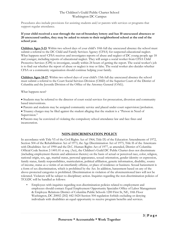Procedures also include provisions for assisting students and/or parents with services or programs that support regular attendance.

## **If your child received a seat through the out-of-boundary lottery and has 10 unexcused absences or 20 unexcused tardies, they may be asked to return to their neighborhood school at the end of the school year.**

**Children Ages 5-13**: Within two school days of your child's 10th full day unexcused absence the school must submit a referral to the DC Child and Family Services Agency (CFSA) for suspected educational neglect. What happens next? CFSA receives and investigates reports of abuse and neglect of DC young people age 18 and younger, including reports of educational neglect. They will assign a social worker from CFSA Child Protective Services (CPS) to investigate, usually within 24 hours of getting the report. The social worker's job is to find out whether the report of abuse or neglect is true or false. The social worker also decides whether CFSA or a community organization should continue helping your family.

**Children Ages 14-17**: Within two school days of your child's 15th full day unexcused absence the school must submit a referral to the Court Social Services Division (CSSD) of the Superior Court of the District of Columbia and the Juvenile Division of the Office of the Attorney General (OAG).

## What happens next?

 Students may be referred to the director of court social services for prosecution, diversion and community based interventions.

Parents and students may be assigned community service and placed under court supervision/probation.

 Truancy charges may be filed against the student alleging that the student is a "Person in Need of Supervision."

 Parents may be convicted of violating the compulsory school attendance law and face fines and incarceration.

# **NON-DISCRIMINATION POLICY**

In accordance with Title VI of the Civil Rights Act of 1964, Title IX of the Education Amendments of 1972, Section 504 of the Rehabilitation Act of 1973, the Age Discrimination Act of 1975, Title II of the Americans with Disabilities Act of 1990 and the D.C. Human Rights Act of 1977, as amended, District of Columbia Official Code Section 2-1401.01 et seq. (Act), the Children's Guild DC Public Charter does not discriminate (including employment therein and admission thereto) on the basis of actual or perceived race, color, religion, national origin, sex, age, marital status, personal appearance, sexual orientation, gender identity or expression, family status, family responsibilities, matriculation, political affiliation, genetic information, disability, source of income, status as a victim of an interfamily offense, or place of residence or business. Sexual harassment is a form of sex discrimination, which is prohibited by the Act. In addition, harassment based on any of the above-protected categories is prohibited. Discrimination in violation of the aforementioned laws will not be tolerated. Violators will be subject to disciplinary action. Inquiries regarding the non-discrimination policies of TCGDC will be handled as follows:

• Employees with inquiries regarding non-discrimination policies related to employment and employees should contact: Equal Employment Opportunity Specialist Office of Labor Management & Employee Relations District of Columbia Public Schools 1200 First St, NE, 10th Floor Washington, DC 20002 (202) 442-5424 Section 504 regulation forbids excluding or denying individuals with disabilities an equal opportunity to receive program benefits and services.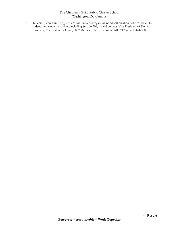• Students, parents and/or guardians with inquiries regarding nondiscrimination policies related to students and student activities, including Section 504, should contact: Vice President of Human Resources, The Children's Guild, 6802 McClean Blvd. Baltimore, MD 21234. 410-444-3800.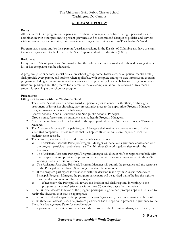# **GRIEVANCE POLICY**

#### **Policy:**

All Children's Guild program participants and/or their parents/guardians have the right personally, or in combination with other persons, to present grievances and to recommend changes to policies and services without fear of reprisal, restraint, interference, coercion, or discrimination from The Children's Guild.

Program participants and/or their parents/guardians residing in the District of Columbia also have the right to present a grievance to the Office of the State Superintendent of Education (OSSE)

#### **Rationale:**

Every student/client, parent and/or guardian has the right to receive a formal and unbiased hearing at which his or her complaints can be addressed.

A program (charter school, special education school, group home, foster care, or outpatient mental health) shall provide every parent, and student when applicable, with complete and up to date information about its program, including at minimum its academic policies, IEP process, policies on behavior management, student rights and privileges and the process for a parent to make a complaint about the services or treatment a student is receiving at the school or program.

## **Procedures:**

#### **Filing a Grievance with the Children's Guild**

1. The student/client, parent and/or guardian, personally or in concert with others, or through a proponent of his or her choosing, may present grievances to the appropriate Program Manager. Program managers include the following:

Charter Schools, Special Education and Non-public Schools: Principal Group home, foster care, or outpatient mental health: Program Managers.

- 2. A written complaint shall be submitted to the appropriate Assistant/Associate Principal/Program Manager.
- 3. The Assistant/Associate Principal/Program Managers shall maintain a permanent record of all submitted complaints. These records shall be kept confidential and stored separate from the student/client records.
- 4. The written grievance shall be handled in the following manner:
	- a) The Assistant/Associate Principal/Program Manager will schedule a grievance conference with the program participant and relevant staff within three (3) working days after receipt the grievance.
	- b) The Assistant/Associate Principal/Program Manager will discuss his/her response verbally with the complainant and provide the program participant with a written response within three (3) working days after this conference.
	- c) The Assistant/Associate Principal/Program Manager will submit the grievance and the response to the Principal within three (3) working days after the conference.
	- d) If the program participant is dissatisfied with the decision made by the Assistant/Associate Principal/Program Manager, the program participant will be advised that (s)he has the right to have the decision reviewed by the Principal.
	- e) If necessary, the Principal will review the decision and shall respond, in writing, to the program participants' grievance within three (3) working days after the review.
- 5. If the Principal decides in favor of the program participant's grievance, prompt steps will be taken to rectify the situation, as it may be appropriate
- 6. If the Principal decides against the program participant's grievance, the complainant shall be notified within three (3) business days. The program participant has the option to present the grievance to the Executive Management Team for consideration.
- 7. If the program participant is dissatisfied with the decision of the Executive Management Team, the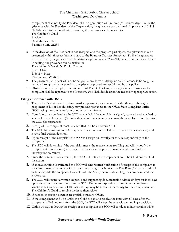complainant shall notify the President of the organization within three (3) business days. To file the grievance with the President of the Organization, the grievance can be stated via phone at 410-444- 3800 directed to the President. In writing, the grievance can be mailed to: The Children's Guild President 6802 McClean Blvd Baltimore, MD 21234

8. If the decision of the President is not acceptable to the program participant, the grievance may be presented within three (3) business days to the Board of Trustees for review. To file the grievance with the Board, the grievance can be stated via phone at 202-269-4304, directed to the Board Chair. In writing, the grievance can be mailed to: The Children's Guild DC Public Charter

```
Board Chair
2146 24th Place
Washington DC 20018
```
- 9. The program participant will not be subject to any form of discipline solely because (s)he sought a remedy through, or participated in, the grievance procedures established by this policy.
- 10. Obstruction by any employee or volunteer of The Guild of any investigation or disposition of a complaint shall be reported to the President, who shall decide upon the necessary appropriate action.

## **Filing a Grievance with OSSE**

- 1. The student/client, parent and/or guardian, personally or in concert with others, or through a proponent of his or her choosing, may present grievances to the OSSE State Compliant Office (SCO) using the complaint form or other written format.
- 2. Complaints may be faxed to the SCO or emailed if the complaint is signed, scanned, and attached to an email to enable receipt. (An individual who is unable to fax or email the complaint should contact the SCO for assistance)
- 3. A copy of the complaint must be submitted to The Children's Guild.
- 4. The SCO has a maximum of 60 days after the complaint is filed to investigate the allegation(s) and issue a final written decision.
- 5. Upon receipt of the complaint, the SCO will assign an investigator to take responsibility of the complaint.
- 6. The SCO will determine if the complaint meets the requirements for filing and will 1) notify the complainant to re-file or 2) investigate the issue (for due process involvement or no further investigation warranted.
- 7. Once the outcome is determined, the SCO will notify the complainant and The Children's Guild if the action.
- 8. If an investigation is warranted the SCO will send written notification of receipt of the complaint to the complainant with copies of the Procedural Safeguards Notices for Part B and/or Part C and will include the date the complaint I was file with the SCO, the individual filing the complaint, and the issue raised.
- 9. The SCO will request a written response and supporting documentation within 10 days business days upon receipt of the complaint from the SCO. Failure to respond may result in noncompliance sanctions but an extension of 10 business days may be granted if necessary for the complainant and The Children's Guild to resolve the issue themselves.
- 10. If needed, mediation services are available through OSSE.
- 11. If the complainant and The Children's Guild are able to resolve the issue with 60 days after the complaint is filed and so inform the SCO, the SCO will close the case without issuing a decision.
- 12. Within 60 days following the receipt of the complaint the SCO will conduct an investigation which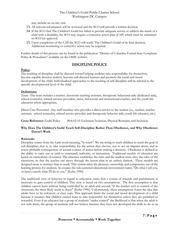may include an on-site visit.

- 13. All relevant information will be reviewed and the SCO will provide a written decision.
- 14. If the SCO find The Children's Guild has failed to provide adequate service to address the needs of a child with a disability, the SCO may require a corrective action plan (CAP) which must be submitted to SCO for approval.
- 15. Upon completion of the CAP the SCO will notify The Children's Guild of its final decision. Additional monitoring or corrective action may be required.

Further details of this process can be found in the publication "District of Columbia Formal State Complaint Policy & Procedures" available on the OSSE website.

# **DISCIPLINE POLICY**

## **Policy:**

The teaching of discipline shall be directed toward helping students take responsibility for themselves, become capable decision-makers, become self-directed learners and promote the social and moral development of the child. Individualized approaches to the teaching of self-discipline will be tailored to the specific developmental level of the child.

## **Definitions:**

Team--The team includes a teacher, classroom teaching assistant, therapeutic behavioral aide (dedicated aide), school counselor, related services providers, nurse, behavioral and instructional coaches, and the youth life educators where appropriate.

Direct Care Personnel--Any staff member who provides a direct service to the student (i.e., teacher, teacher assistant, school counselor, related service provider, and therapeutic behavior aide, youth life educator, etc.).

**Cross Reference:** Guild Policy #04-02-03 Exclusion/Isolation, Physical Restraint, and Seclusion

## **Why Does The Children's Guild Teach Self-Discipline Rather Than Obedience, and Why Obedience Doesn't Work**

## **Rationale:**

Discipline comes from the Latin word meaning, "to teach". We are trying to teach children to reach the goal of self-discipline; that is, to take responsibility for the action they choose, not to act on impulse alone, and to assess probable consequences of several courses of action before making a decision. Obedience is defined as the ability to carry out or yield to command, authority, or instruction. Traditional models of education are based on curriculums of control. The educator establishes the rules and the student must obey the rules of the classroom, so that the teacher can move through the lesson plan in an orderly fashion. These models are designed more to instruct than to teach. This system takes the pleasure, ownership, and competency out of the learning process for students. In essence the rule centered educational environment states, "Do what I tell you, or here's exactly what I'll do to you." (Kohn 1996)

The traditional view of behavior in regard to education states that a system of rewards and punishments is necessary to gain control of children. This view is based on two assumptions. The first assumption is that children cannot learn without being controlled by an adult and second, "if the teacher isn't in control of the classroom, the most likely result is chaos" (Kohn 1996). Unfortunately, these assumptions foster the idea that adults have to be enforcers or class cops. This approach limits the social and moral development of a child because it assumes that children cannot learn to take responsibly for themselves unless they are punished or rewarded. Even if an educator has a group of students "under control" the likelihood is that when the adult is not with them, the group of students will not behave because they have not developed the skills to do so in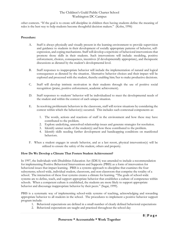other contexts. "If the goal is to create self-discipline in children then having students define the meaning of rules is the best way to help students become thoughtful decision makers." (Kohn, 1996)

#### **Procedure:**

- A. Staff is always physically and visually present in the learning environment to provide supervision and guidance to students in their development of socially appropriate patterns of behavior, selfexpression, and coping mechanisms. Staff will develop a repertoire of behavioral interventions that promote those skills in their students. Such interventions will include: modeling, positive enforcement, choices, consequences, incentives (if developmentally appropriate), and therapeutic discussions as dictated by the student's developmental level.
- B. Staff responses to inappropriate behavior will include the implementation of natural and logical consequences as dictated by the situation. Alternative behavior choices and their impact will be explored and processed with the student, thereby enabling him/her to make productive decisions.
- C. Staff will develop intrinsic motivation in their students through the use of positive social recognition (praise, positive enforcement, academic achievement).
- D. Staff responses to students' behavior will be individualized to meet the developmental needs of the student and within the context of each unique situation.
- E. In resolving problematic behaviors in the classroom, staff will review situations by considering the context within which the behavior(s) occurred. This includes such contextual components as:
	- 1. The words, actions and reactions of staff in the environment and how these may have contributed to the problem.
	- 2. Explore underlying, unresolved relationship issues and generate strategies for resolution.
	- 3. Identify unmet needs of the student(s) and how these contributed to the problem.
	- 4. Identify skills needing further development and handicapping conditions on manifested behaviors.
- F. When a student engages in unsafe behavior, and as a last resort, physical intervention(s) will be utilized to ensure the safety of the student, others and property.

## **How Do We Develop a Climate That Fosters Student Achievement?**

In 1997, the Individuals with Disabilities Education Act (IDEA) was amended to include a recommendation for implementing Positive Behavioral Interventions and Supports (PBIS) as a form of intervention for behavioral issues that impact learning. PBIS is a systems approach to discipline that examines the four subsystems; school-wide, individual student, classroom, and non-classroom that comprise the totality of a school. The interaction of these four systems creates a climate for learning. "The goals of school-wide systems are to define, teach, and support appropriate behavior that establishes a culture of competence within schools. When a competent culture is established, the students are more likely to support appropriate behavior and discourage inappropriate behavior by their peers." (Sugai, 1999).

PBIS is a systematic way of implementing school-wide systems of teaching, acknowledging and rewarding appropriate behavior to all students in the school. The procedures to implement a positive behavior support program include:

- 1. Behavioral expectations are defined in a small number of clearly defined behavioral expectations
- 2. Behavioral expectations are taught and practiced throughout the school day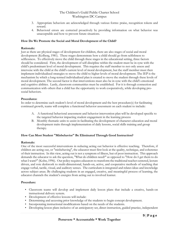- 3. Appropriate behaviors are acknowledged through various forms: praise, recognition tokens and reward.
- 4. Behavioral errors are corrected proactively by providing information on what behavior was unacceptable and how to prevent future situations.

## **How Do We Promote the Social and Moral Development of the Child?**

## **Rationale:**

Just as there are physical stages of development for children, there are also stages of social and moral development (Kolberg, 1981). These stages demonstrate how a child should go from selfishness to selflessness. To effectively move the child through these stages in the educational setting, three factors should be considered. First, the development of self-discipline within the student must be in sync with the child's predominant level of moral development. This requires the staff member to not only assess and intervene with the child at the child's current level of moral development, but the staff member must then implement individualized strategies to move the child to higher levels of moral development. The IEP is the mechanism by which a long-termed individualized plan is created to move the student through these levels of moral development. The second factor is that interventions must also be in sync with the child's emotional and cognitive abilities. Lastly, classroom communities must be established. For it is through connection and communication with others that a child has the opportunity to work cooperatively, while developing prosocial behaviors.

## **Procedures:**

In order to determine each student's level of moral development and the best procedure(s) for facilitating continued growth, teams will complete a functional behavior assessment on each student to include:

- A. A functional behavioral assessment and behavior intervention plan will be developed specific to the targeted behavior impacting student engagement in the learning process
- B. Monthly thematic units to assist in facilitating the development of character education and moral development traits through implementation of daily lessons, social skills training and group therapy.

## **How Can Most Student "Misbehavior" Be Eliminated Through Good Instruction?**

## **Rationale:**

One of the most successful interventions in reducing acting out behavior is effective teaching. Therefore, if children are acting out, or "misbehaving", the educator must first look at the quality, technique, and coherence of their instruction. In this view, acting out is not a symptom of illness, but of poor instruction. This approach demands the educator to ask the question, "What do children need?" as opposed to "How do I get them to do what I want?" (Kohn, 1996). Our policy requires educators to transform the traditional teacher centered, lecture driven, and rote deskwork to multi-dimensional, hands-on, active, and cooperative methods of teaching that engage verbal, tactile, visual, and auditory senses. The curriculum is integrated and relates ideas and knowledge across subject areas. By challenging students in an engaged, creative, and meaningful process of learning, the educator channels the student's energies from acting out to involved learner.

## **Procedure:**

- Classroom teams will develop and implement daily lesson plans that include a creative, hands-on instructional delivery system.
- Development of effective lessons will include:
- Determining and accessing prior knowledge of the students to begin concept development.
- Incorporating instructional modifications based on the needs of the students.
- Developing lesson plans inclusive of an anticipatory set, direct instruction, guided practice, independent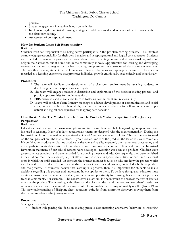practice.

- Student engagement in creative, hands-on activities.
- Implementing differentiated learning strategies to address varied student levels of performance within the classroom setting.
- Assessment of concept attainment.

## **How Do Students Learn Self-Responsibility? Rationale:**

Students learn self-responsibility by being active participants in the problem-solving process. This involves acknowledging responsibility for their own behavior and accepting natural and logical consequences. Students are expected to maintain appropriate behavior, demonstrate effecting coping and decision-making skills not only in the classroom, but at home and in the community as well. Opportunities for learning and developing necessary skills and strategies for problem solving are presented in a structured classroom environment. Through this process, students are able to make informed decisions and appropriate choices. Discipline is regarded as a learning experience that promotes individual growth emotionally, academically and behaviorally.

## **Procedure:**

- A. The team will facilitate the development of a classroom environment by assisting students in developing behavior expectations and goals.
- B. The team will engage students in discussion and exploration of the decision-making process, and provide opportunities for implementation.
- C. PBIS matrix is used to guide the team in fostering commitment and responsibility.
- D. Teams will conduct Team Primacy meetings to address development of communication and social skills, enhance problem-solving skills, examine the impact of behavior for self and others and apply natural and logical consequences for inappropriate behavior.

# **How Do We Make The Mindset Switch From The Product/Market Perspective To The Journey Perspective?**

## **Rationale:**

Educators must examine their own assumptions and transform their own beliefs regarding discipline and how it is used in teaching. Many of today's educational systems are designed with the market mentality. During the Industrial revolution, the market perspective dominated American views and policies. This perspective focused on the end product and the marketplace. If you produced more of the product, the faster you were rewarded. If you failed to produce or did not produce at the rate and quality expected, the market was unwavering and unsympathetic in its deliberation of punishment and economic sanctioning. It was during the Industrial Revolution that many of our school systems were developed. Learning was seen as a product. Children were given concrete standards and were rewarded for achieving those standards. Consequently, they were punished if they did not meet the standards, i.e., not allowed to participate in sports, clubs, trips, or even in educational areas in which the child excelled. In contrast, the journey mindset focuses on why and how the process works to achieve the end product. The journey mindset does not ignore the end product, but includes both the product and the process. If educators believe that learning is a process, then it is imperative for students to make decisions regarding this process and understand how it applies to them. To achieve this goal an educator must create a classroom where conflict is valued, and seen as an opportunity for learning, because conflict provides teachable moments. For example, "The constructive classroom, is one in which the process matters at least as much as the product. The wrestling with dilemmas, the clash of ideas, and the need to take others' needs into account-these are more meaningful than any list of rules or guidelines that may ultimately result." (Kohn 1996) This new understanding of discipline alters educators' attitudes from control to discovery, moving them from the market mindset to the journey mindset.

## **Procedure:**

Strategies may include:

• Student role-playing the decision making process demonstrating alternative behaviors to resolving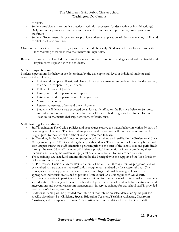conflicts.

- Student participate in restorative practices restitution processes for destructive or hurtful action(s)
- Daily community circles to build relationships and explore ways of preventing similar problems in the future
- Student Government Association to provide authentic application of decision making skills and conflict resolution strategies.

Classroom teams will teach alternative, appropriate social skills weekly. Students will role-play steps to facilitate incorporating these skills into their behavioral repertoire.

Restorative practices will include peer mediation and conflict resolution strategies and will be taught and implemented regularly with the students.

## **Student Expectations:**

Student expectations for behavior are determined by the developmental level of individual students and consist of the following:

- Initiate and complete all assigned classwork in a timely manner, to be determined by the teacher, as an active, cooperative participant.
- Follow Directions Quickly.
- Raise your hand for permission to speak.
- Raise your hand for permission to leave your seat.
- Make smart choices.
- Respect yourselves, others and the environment.
- Students will demonstrate expected behaviors as identified on the Positive Behavior Supports and Intervention matrix. Specific behaviors will be identified, taught and reinforced for each location on the matrix (hallway, bathroom, cafeteria, bus).

## **Staff Training Expectations:**

- Staff is trained in The Guild's policies and procedures relative to student behaviors within 30 days of beginning employment. Training in these policies and procedures will routinely be offered each August prior to the start of the school year and also each January.
- Staff working in the Special Education program will be trained and certified in the Professional Crisis Management System<sup>® prior</sup> to working directly with students. These trainings will routinely be offered each August during the staff orientation program prior to the start of the school year and periodically through the year. No staff member will initiate a physical intervention without completing these trainings and passing the written and physical evaluations needed for system certification.
- These trainings are scheduled and monitored by the Principal with the support of the Vice President of Organizational Learning.
- All Professional Crisis Management® instructors will be certified through training programs, and will be required to participate in a re-certification program as mandated by the system utilized. The Principals with the support of the Vice President of Organizational Learning will ensure that appropriate individuals are trained to provide Professional Crisis Management® Guild staff.
- All direct care staff will participate in in-service training for the purpose of professional advancement and education. Training will include further development in areas of positive behavior strategies and interventions and overall classroom management. In-service training for day school staff is provided weekly on Wednesday afternoons.
- Additional training will be provided monthly or bi-monthly or on select dates during the year for specific disciplines, i.e., Clinicians, Special Education Teachers, Teaching Assistants, Classroom Assistants, and Therapeutic Behavior Aides. Attendance is mandatory for all direct care staff.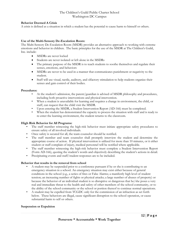## **Behavior Deemed A Crisis**

A crisis is defined as a situation in which a student has the potential to cause harm to himself or others.

## **Use of the Multi-Sensory De-Escalation Room:**

The Multi-Sensory De-Escalation Room (MSDR) provides an alternative approach to working with extreme emotions and behavior in children. The basic principles for the use of the MSDR at The Children's Guild, Inc. include:

- MSDRs are never locked
- Students are never isolated or left alone in the MSDRs
- The primary purpose of the MSDR is to teach students to soothe themselves and regulate their senses, emotions, and behaviors
- MSDRs are never to be used in a manner that communicates punishment or negativity to the student.
- Staff will use visual, tactile, auditory, and olfactory stimulation to help students organize their senses and gain control of their bodies.

## **Procedures:**

- At the student's admission, the parent/guardian is advised of MSDR philosophy and procedures, including both proactive interventions and physical intervention.
- When a student is unavailable for learning and requires a change in environment, the child, or staff, can request that the child visit the MSDR.
- Upon entering the MSDR, a Student Intervention Report (AD-166) must be completed.
- When the student has demonstrated the capacity to process the situation with staff and is ready to re-enter the learning environment, the student returns to the classroom.

## **High Risk Behavior for All Programs:**

- The staff member witnessing the high-risk behavior must initiate appropriate safety procedures to ensure safety of all involved individuals.
- Once safety is secured for all, the team counselor should be notified.
- The staff member and team counselor shall promptly interview the student and determine the appropriate course of action. If physical intervention is utilized for more than 10 minutes, or it either student or staff complain of injury, medical personnel will be notified where applicable.
- The staff member witnessing the high-risk behavior must complete a Student Intervention Report (Form AD-166), quoting the student's words and objectively describing the student's actions in detail.
- Precipitating events and staff/student responses are to be included.

## **Behavior that results in the removal from school**

- A student may be suspended prior to a conference pursuant if he or she is contributing to an emergency situation in a school. An emergency situation may exist either because of general conditions in the school (e.g., a series of fires or False Alarms; a manifestly high level of student tension; an increasing number of fights or physical attacks; a large number of abuses of property) or because the behavior of an individual student is so disruptive or dangerous that he/she poses a very real and immediate threat to the health and safety of other members of the school community, or to the ability of the school community or the school or portion thereof to continue normal operations.
- A student may be expelled from TCGDC only for the commission of an infraction as set forth below. These behaviors are illegal, cause significant disruption to the school operation, or cause substantial harm to self or others.

## **Suspension or Expulsion**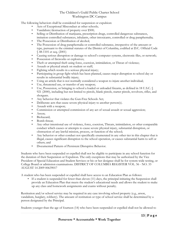The following behaviors shall be considered for suspension or expulsion:

- Acts of Exceptional Misconduct at other schools;
- Vandalism/destruction of property over \$500;
- Selling or Distribution of marijuana, prescription drugs, controlled dangerous substances, imitation controlled substances, inhalants, other intoxicants, controlled or drug paraphernalia;
- The Possession or Distribution of alcohol;
- The Possession of drug paraphernalia or controlled substance, irrespective of the amount or type, pursuant to the criminal statutes of the District of Columbia, codified at D.C. Official Code § 48-1101 et seq. (2001)
- Causing serious disruption or damage to school's computer systems, electronic files, or network;
- Possession of fireworks or explosives;
- Theft or attempted theft using force, coercion, intimidation, or Threat of violence;
- Assault or physical attack on student or staff;
- Fighting which results in a serious physical injury;
- Participating in group fight which has been planned, causes major disruption to school day or results in substantial bodily injury;
- Using an article that is not normally considered a weapon to injure another individual;
- Use, threatened use, or transfer of any weapon;
- Use, Possession, or bringing to school a loaded or unloaded firearm, as defined in 18 U.S.C.  $\sqrt{ }$ 921 (2000), including but not limited to pistols, blank pistols, starter pistols, revolvers, rifles, and shotguns.
- Any behavior that violates the Gun-Free Schools Act;
- Deliberate acts that cause severe physical injury to another person(s).
- Assault with a weapon;
- Commission or attempted commission of any act of sexual assault or sexual aggression;
- Arson;
- Biohazard;
- Bomb threat;
- Any other intentional use of violence, force, coercion, Threats, intimidation, or other comparable conduct which causes or attempts to cause severe physical injury, substantial disruption, or obstruction of any lawful mission, process, or function of the school;
- Any behavior or other conduct not specifically enumerated in any other tier in this chapter that is illegal, causes significant disruption to the school operation, or causes substantial harm to self or others; and
- Documented Pattern of Persistent Disruptive Behavior.

Students who have been suspended or expelled shall not be eligible to participate in any school function for the duration of their Suspension or Expulsion. The only exceptions that may be authorized by the Vice President of Special Education and Student Services or his or her designee shall be for system-wide testing, or College Board or admission examinations. DISTRICT OF COLUMBIA REGISTER VOL. 56 - NO. 33 AUGUST 14 2009 00639017

A student who has been suspended or expelled shall have access to an Education Plan as follows:

• If a student is suspended for fewer than eleven (11) days, the principal initiating the Suspension shall provide an Education Plan that meets the student's educational needs and allows the student to make up any class and homework assignments and exams without penalty.

Restitution and/or school service may be required in any case involving school property (e.g., arson, vandalism, burglary, robbery). The amount of restitution or type of school service shall be determined by a person designated by the Principal.

Students younger than the age of fourteen (14) who have been suspended or expelled shall not be allowed to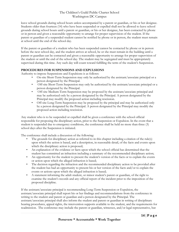leave school grounds during school hours unless accompanied by a parent or guardian, or his or her designee. Students older than fourteen (14) who have been suspended or expelled shall not be allowed to leave school grounds during school hours until a parent or guardian, or his or her designee, has been contacted by phone or in person and given a reasonable opportunity to arrange for proper supervision of the student. If the parent or guardian of a suspended student cannot be notified by phone or in person, the student must remain at school until the end of the school day.

If the parent or guardian of a student who has been suspended cannot be contacted by phone or in person before the next school day, and the student arrives at school, he or she must remain in the building until a parent or guardian can be contacted and given a reasonable opportunity to arrange for proper supervision of the student or until the end of the school day. The student may be segregated and must be appropriately supervised during this time. Any such day will count toward fulfilling the term of the student's Suspension.

## **PROCEDURES FOR SUSPENSIONS AND EXPULSIONS**

Authority to impose Suspensions and Expulsions is as follows:

- On-site Short-Term Suspension may only be authorized by the assistant/associate principal or a person designated by the Principal.
- Off-site Short-Term Suspension may only be authorized by the assistant/associate principal or a person designated by the Principal.
- Off-site Medium-Term Suspension may be proposed by the assistant/associate principal and may be authorized only by a person designated by the Principal. A person designated by the Principal may modify the proposed action including rescission.
- Off-site Long-Term Suspension may be proposed by the principal and may be authorized only by a person designated by the Principal. A person designated by the Principal may modify the proposed action including rescission.

Any student who is to be suspended or expelled shall be given a conference with the school official responsible for proposing the disciplinary action, prior to the Suspension or Expulsion. In the event that a student is suspended due to emergency conditions, the conference shall be held no more than three (3) school days after the Suspension is initiated.

The conference shall include a discussion of the following:

- The grounds for disciplinary action as referred to in this chapter including a citation of the rule(s) upon which the action is based, and a description, in reasonable detail, of the facts and events upon which the disciplinary action is proposed;
- An explanation of the evidence or facts upon which the school official has determined that the student has committed an infraction including a summary of the recommended disciplinary action;
- An opportunity for the student to present the student's version of the facts or to explain the events or action upon which the alleged infraction is based;
- The decision regarding the infraction and the recommended disciplinary action to be provided after the student has had an opportunity to present his or her version of the facts and/or to explain the events or actions upon which the alleged infraction is based;
- A statement informing the adult student, or minor student's parent or guardian, of the right to examine the student's records and any official report of the incident prior to the imposition of the proposed discipline.

If the assistant/associate principal is recommending Long-Term Suspension or Expulsion, the assistant/associate principal shall report his or her findings and recommendations from the conference in writing to the student and parent or guardian and a person designated by the Principal. The assistant/associate principal shall also inform the student and parent or guardian in writing of disciplinary hearing procedures, appeal rights, the intervention supports available to the student, and the requirements for readmission. The conference may include the parent or guardian, witnesses, and/or legal representative, but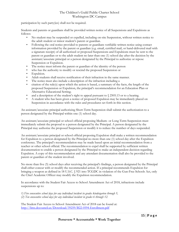participation by such party(ies) shall not be required.

Students and parents or guardians shall be provided written notice of all Suspensions and Expulsions as follows:

- No student may be suspended or expelled, including on-site Suspension, without written notice to the adult student or minor student's parent or guardian.
- Following the oral notice provided to parents or guardians verifiable written notice using contact information provided by the parent or guardian (e.g. email, certified mail, or hand-delivered mail with a signature receipt) of all authorized or proposed Suspensions and Expulsions must be sent to the parent or guardian or to the adult student no later than one (1) school day after the decision by the assistant/associate principal or a person designated by the Principal to authorize or repose Suspension or Expulsion.
- The notice must inform the parent or guardian of the identity of the person
- who has the authority to modify or rescind the proposed Suspension or
- Expulsion.
- Adult students shall receive notification of their infraction in the same manner.
- The notice must also include a description of the infraction including a
- citation of the rule(s) upon which the action is based, a summary of the facts, the length of the proposed Suspension or Expulsion, the principal's recommendation for an Education Plan or Alternative Educational Setting;
- and a description of the student's right to appeal pursuant to  $\sqrt{}$  2505.13 or to a hearing.
- A student who has been given a notice of proposed Expulsion may be immediately placed on Suspension in accordance with the rules and procedures set forth in this section.

An assistant/associate principal authorizing Short-Term Suspension shall submit the authorization to a person designated by the Principal within one (1) school day.

An assistant/associate principal or school official proposing Medium- or Long-Term Suspension must immediately submit the proposal to a person designated by the Principal. A person designated by the Principal may authorize the proposed Suspension or modify it to reduce the number of days suspended.

An assistant/associate principal or school official proposing Expulsion shall make a written recommendation for Expulsion to a person designated by the Principal no more than one (1) school day after the Expulsion conference. The principal's recommendation may be made based upon an initial recommendation from a teacher or other school official. The recommendation to expel shall be supported by sufficient written documentation to enable a person designated by the Principal to make an independent decision regarding Expulsion. A copy of this recommendation and any attendant documentation shall also be provided to the parent or guardian of the student involved.

No more than five (5) school days after receiving the principal's findings, a person designated by the Principal shall either concur with or modify the recommended action. If a principal recommends Expulsion for bringing a weapon as defined in 18 U.S.C. § 921 into TCGDC in violation of the Gun-Free Schools Act, only the Chief Academic Officer may modify the Expulsion recommendation.

In accordance with the Student Fair Access to School Amendment Act of 2018, infractions include suspensions up to:

*1) Five consecutive school days for any individual incident in grades kindergarten through 5, (2) Ten consecutive school days for any individual incident in grades 6 through 12.*

The Student Fair Access to School Amendment Act of 2018 can be found at: <http://lims.dccouncil.us/Download/39259/B22-0594-Enrollment.pdf>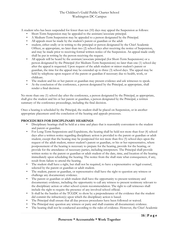A student who has been suspended for fewer than ten (10) days may appeal the Suspension as follows:

- Short-Term Suspension may be appealed to the assistant/associate principal.
- A Medium-Term Suspension may be appealed to a person designated by the Principal.
- All appeals must be made by the student's parent or guardian or the adult
- student, either orally or in writing to the principal or person designated by the Chief Academic Officer, as appropriate, no later than two (2) school days after receiving the notice of Suspension, and may be made prior to receiving formal written notice of the Suspension. An appeal made orally shall be put in writing by the person receiving the request.
- All appeals will be heard by the assistant/associate principal (for Short-Term Suspensions) or a person designated by the Principal (for Medium-Term Suspensions) no later than one (1) school day after the appeal is requested. Upon request of the adult student or minor student's parent or guardian, the time for the appeal may be extended up to three (3) school days. The appeal may be held by telephone upon request of the parent or guardian if necessary due to health, work, or childcare.
- The student and his or her parent or guardian may present evidence and ask witnesses to speak.
- At the conclusion of the conference, a person designated by the Principal, as appropriate, shall render a final decision.

No more than one (1) school day after the conference, a person designated by the Principal, as appropriate, shall give the student and his or her parent or guardian, a person designated by the Principal, a written summary of the conference proceedings, including the final decision.

Once a hearing is scheduled by the Principal, the student shall be placed on Suspension, or in another appropriate placement until the conclusion of the hearing and appeals processes.

## **PROCEDURES FOR DISCIPLINARY HEARINGS**

- Disciplinary hearings shall be held at a time and place that is reasonably convenient to the student and parent or guardian.
- For Long-Term Suspensions and Expulsions, the hearing shall be held not more than four (4) school days after a written notice regarding disciplinary action is provided to the parent or guardian or adult student, except that the hearing may be postponed for not more than five (5) school days upon the request of the adult student, minor student's parent or guardian, or his or her representative, where postponement of the hearing is necessary to prepare for the hearing, provide for the hearing, or provide for the attendance of necessary parties, including interpreters. The Principal shall provide written notice to the parent or guardian or adult student of the date, time, and location of the hearing immediately upon scheduling the hearing. The notice from the shall state what consequences, if any, result from failure to attend the hearing.
- The student shall have a right, but shall not be required, to have a representative or legal counsel, selected by the parent or guardian or adult student.
- The student, parent or guardian, or representative shall have the right to question any witness or challenge any documentary evidence.
- The parent or guardian or adult student shall have the opportunity to present testimony and documentary evidence, including the opportunity to call any witness to present testimony relevant to the disciplinary action or other school system recommendation. The right to call witnesses shall include the right to require the presence of any involved school official.
- It shall be the burden of the TCGDC to show by a preponderance of the evidence that the student did commit the infraction(s) upon which the disciplinary action is based.
- The Principal shall ensure that all due process procedures have been followed or waived.
- The Principal may question any witness or party and shall examine all documentary evidence.
- The hearing shall not be conducted according to the rules of evidence. However, the Chief Academic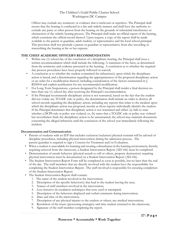Officer may exclude any testimony or evidence that is irrelevant or repetitive. The Principal shall ensure that the hearing is conducted in a fair and orderly manner and shall have the authority to exclude any party or other person from the hearing on the grounds of substantial interference or obstruction of the orderly hearing process. The Principal shall make an official report of the hearing, which constitute the official record thereof. Upon request, a copy of the report shall be made available to the parent or guardian, adult student, or representative and the local school principal. This provision shall not preclude a parent or guardian or representative from also recording or transcribing the hearing at his or her expense.

## **THE CHIEF ACADEMIC OFFICER'S RECOMMENDATION**

- Within one (1) school day of the conclusion of a disciplinary hearing, the Principal shall issue a written recommendation which shall include the following: A statement of the facts, as determined from the testimony and evidence presented at the hearing; A conclusion as to whether the required due process procedures have been properly followed or waived;
- A conclusion as to whether the student committed the infraction(s) upon which the disciplinary action is based; and a determination regarding the appropriateness of the proposed disciplinary action or an order for a modification thereof, including consideration of the factors enumerated in § B2500.8 and explicit justification for any recommended modification.
- For Long-Term Suspensions, a person designated by the Principal shall render a final decision no later than one (1) school day after receiving the Principal's recommendation.
- If the Principal recommends disciplinary action is not warranted, based on the fact that the student did not violate any TCGDC rule or policy, the determination shall include an order to destroy all school records regarding the disciplinary action, including any reports that relate to the incident upon which the disciplinary action was proposed, insofar as those reports individually identify the student. If the Principal determines that disciplinary action is not warranted and either: (a) fails to state whether a DCPS rule or policy was violated, or, (b) states that a TCGDC rule or policy was violated but nevertheless finds the disciplinary action to be unwarranted, the school may maintain documents concerning the alleged infraction until the conclusion of the school year immediately following the incident.

## **Documentation and Communication**

- Parents of students with an IEP that includes exclusion/seclusion/physical restraint will be advised of discipline procedures, including physical intervention during the admission process. The parent/guardian is required to sign a Consent for Treatment and/or Evaluation.
- When a student is unavailable for learning and creating a disturbance in the learning environment, thereby requiring removal from the classroom, a Student Intervention Report (AD-166) must be completed.
- Demonstration of unsafe behavior (physical assault to self or others, property destruction) requiring physical intervention must be documented on a Student Intervention Report (AD-166).
- The Student Intervention Report Form will be completed as soon as possible, but no later than the end of the day. The staff members that are directly involved with the student have the responsibility for completing the Student Intervention Report. The staff involved is responsible for ensuring completion of the Student Intervention Report.
- The Student Intervention Report shall contain:
	- 1. The name of the student involved in the intervention;
	- 2. Description of the specific behavior(s) that lead to the student leaving the area;
	- 3. Names of staff members involved in the intervention;
	- 4. Less intrusive de-escalation techniques that were used or attempted;
	- 5. Description of the behaviors displayed and verbal comments during intervention;
	- 6. Date and time of the intervention;
	- 7. Description of any physical injuries to the student or others; any medical intervention;
	- 8. Resolution of the issues (processing strategies) and time student returned to the classroom;
	- 9. Signature of the staff member completing the report.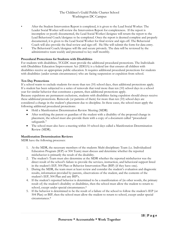• After the Student Intervention Report is completed, it is given to the Lead Social Worker. The Leader Social Worker will review the Intervention Report for completeness. If the report is incomplete or poorly documented, the Lead Social Worker/designee will return the report to the Lead Behavioral Coach/designee to be completed. Once the report is deemed complete and properly documented, it is given to the Lead Social Worker for final review and sign-off. The Behavioral Coach will also provide the final review and sign-off. He/She will submit the form for data entry. • The Behavioral Coach/designee will file and secure privately. The data will be reviewed by the administrative team weekly and presented to key staff monthly.

#### **Procedural Protections for Students with Disabilities**

For students with disabilities, TCGDC must provide the additional procedural protections. The Individuals with Disabilities Education Improvement Act (IDEIA) is a federal law that ensures all children with disabilities receive an appropriate public education. It requires additional procedural protections for students with disabilities (under certain circumstances) who are facing suspension or expulsion from school.

#### **Ten Day Protections**

If a school wants to exclude students for more than ten (10) school days, then additional protections apply. If a student has been subjected to a series of removals that total more than ten (10) school days in a school year for similar behavior that constitutes a pattern, then additional protections apply.

Because expulsions are permanent exclusions, students with disabilities facing expulsion should always receive these additional protections. Removals (or patterns of them) for more than ten (10) school days are considered a change in the student's placement due to discipline. In these cases, the school must apply the following additional procedural protections:

- Hold a Manifestation Determination Review Meeting (MDR)
- After notifying the parent or guardian of the student with a disability of the proposed change in placement, the school must also provide them with a copy of a document called "procedural safeguards."
- The school must also have a meeting within 10 school days called a Manifestation Determination Review (MDR).

## **Manifestation Determination Reviews**

MDR have the following processes:

- 1. At the MDR, the necessary members of the students Multi-disciplinary Team (i.e. Individualized Education Program (IEP) or 504 Team) must discuss and determine whether the reported misbehavior is primarily the result of the disability.
- 2. The student's Team must also determine at the MDR whether the reported misbehavior was the direct result of the school's failure to provide the services, instruction, and behavioral support listed in the student's IEP, 504 Plan or Behavior Intervention Plan (BIP) (if they have one).
- 3. During the MDR, the team must at least review and consider the student's evaluation and diagnostic results, information provided by parents, observations of the student, and the contents of the student's IEP, 504 Plan and any BIP's.
- 4. If the student's reported behavior is determined to be a manifestation of (in other words, the primary result of) the student's disability or disabilities, then the school must allow the student to return to school, except under special circumstances.\*
- 5. If the behavior is determined to be the result of a failure of the school to follow the student's IEP (or 504 Plan) or BIP, then the school must allow the student to return to school, except under special circumstances.\*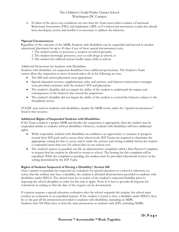6. If either of the above two conditions are met then the Team must either conduct a Functional Behavioral Assessment (FBA) and implement a BIP, or if a behavioral assessment or plan has already been developed, review and modify it as necessary to address the behavior.

## **\*Special Circumstances**

Regardless of the outcome of the MDR, Students with disabilities can be suspended and moved to another educational placement for up to 45 days if any of these special circumstances exist.

- 1. The student carries or possesses a weapon on school grounds;
- 2. The student knowingly possesses, uses or sells drugs at school; or
- 3. The student has inflicted serious bodily injury while at school.

Additional Protections for Students with Disabilities

Students with disabilities (or suspected disabilities) have additional protections. The Student's Team cannot allow the suspension to move forward unless all of the following are true:

- The IEP and school placement were appropriate.
- Special education services, supplementary aides and services, and behavior intervention strategies were provided consistent with the student's IEP and placement.
- The student's disability did not impair the ability of the student to understand the impact and consequences of the behavior that caused the suspension.
- The student's disability did not impair the ability of the student to control the behavior subject to the disciplinary action.

TCGDC may remove students with disabilities, despite the MDR result, under the "special circumstances" listed in this resource.

## **Additional Rights of Suspended Students with Disabilities**

If the Team conducts a proper MDR and decides the suspension is appropriate, then the student may be suspended similar to students without disabilities. However, students with disabilities still have additional rights.

- While suspended, students with disabilities are entitled to an opportunity to continue to progress toward their IEP goals and to access their school work. IEP Teams are required to determine the appropriate setting for this to occur, and to make the services and setting available before the student is suspended more than ten (10) school days in one school year.
- The student's parent or guardian can file an administrative complaint called a Due Process Complaint to request that the student be allowed to return to school. The hearing for this complaint will be expedited. While the complaint is pending, the student must be provided educational services in the setting determined by the IEP Team.

## **Rights of Students Suspected of Having a Disability/ Section 504**

Once a parent or guardian has requested an evaluation for special education or a school is otherwise on notice that the student may have a disability, the student is afforded all protections provided to students with disabilities under IDEIA. The school must be on notice of the student's suspected disability prior to imposing the school discipline in order for this rule to apply. Note: It is best to provide all requests for evaluations in writing so that the date of the request can be documented.

If a parent requests a special education evaluation after the school suspends the student, the school must conduct an evaluation in an expedited manner. If the student is found to have a disability under IDEIA, then he or she gets all the protections provided to students with disabilities, including an MDR. Students with 504 Plans have at least the same protections as students with IEPs, including MDRs.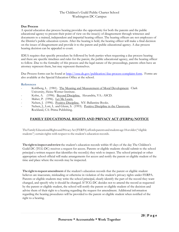## **Due Process**

A special education due process hearing provides the opportunity for both the parents and the public educational agency to present their point of view on the issue(s) of disagreement through witnesses and documents to a trained, independent and impartial hearing officer. The hearing officers are not employees of the District's public education system. After the hearing is held, the hearing officer will make a final decision on the issues of disagreement and provide it to the parent and public educational agency. A due process hearing decision can be appealed to court.

IDEA requires that specific procedure be followed by both parties when requesting a due process hearing and there are specific timelines and rules for the parent, the public educational agency, and the hearing officer to follow. Due to the formality of this process and the legal nature of the proceedings, parents often have an attorney represent them, but may represent themselves.

Due Process forms can be found at [http://osse.dc.gov/publication/due-process-complaint-form.](http://osse.dc.gov/publication/due-process-complaint-form) Forms are also available at the Special Education Office at the school.

## **References**

- Kohlberg, L. (1981). The Meaning and Measurement of Moral Development. Clark University, Heinz Werner Institute.
- Kohn, A. (1996). Beyond Discipline. Alexandria, VA.: ASCD.
- Maher, P. (1996). Let Me Learn.
- Nelsen, J. (1996). Positive Discipline. NY: Ballantine Books.
- Nelsen, J., Lott, L. and Glenn, S. (1993). Positive Discipline in the Classroom. Rockland, CA: Prima Publishing.

# **FAMILY EDUCATIONAL RIGHTS AND PRIVACY ACT (FERPA) NOTICE**

TheFamilyEducationalRightsandPrivacyAct(FERPA)affordsparentsandstudentsage18orolder("eligible students") certain rights with respect to the student's education records.

**Therighttoinspectandreview**the student's education records within 45 days of the day The Children's Guild DC (TCG-DC) receives a request for access. Parents or eligible students should submit to the school principal a written request that identifies the record(s) they wish to inspect. The school principal or other appropriate school official will make arrangements for access and notify the parent or eligible student of the time and place where the records may be inspected.

**The rightto request amendment** of the student's education records that the parent or eligible student believes are inaccurate, misleading or otherwise in violation of the student's privacy rights under FERPA. Parents or eligible students may write the school principal, clearly identify the part of the record they want changed, and specify why it should be changed. If TCG-DC decides not to amend the record as requested by the parent or eligible student, the school will notify the parent or eligible student of the decision and advise them of their right to a hearing regarding the request for amendment. Additional information regarding the hearing procedures will be provided to the parent or eligible student when notified of the right to a hearing.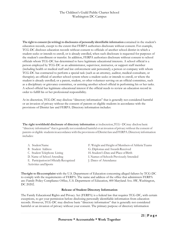**The right to consent (in writing) to disclosures of personally identifiable information** contained in the student's education records, except to the extent that FERPA authorizes disclosure without consent. For example, TCG-DC discloses education records without consent to officials of another school district in which a student seeks or intends to enroll, or is already enrolled, when such disclosure is requested for purposes of the student's enrollment or transfer. In addition, FERPA authorizes disclosure without consent to school officials whom TCG-DC has determined to have legitimate educational interests. A school official is a person employed by TCG-DC as an administrator, supervisor, instructor, or support staff member (including health or medical staff and law enforcement unit personnel); a person or company with whom TCG-DC has contracted to perform a special task (such as an attorney, auditor, medical consultant, or therapist); an official of another school system where a student seeks or intends to enroll, or where the student is already enrolled; or a parent, student, or other volunteer serving on an official committee, such as a disciplinary or grievance committee, or assisting another school official in performing his or her tasks. A school official has legitimate educational interest if the official needs to review an education record in order to fulfill his or her professional responsibility.

At its discretion, TCG-DC may disclose "directory information" that is generally not considered harmful or an invasion of privacy without the consent of parents or eligible students in accordance with the provisions of District law and FERPA. Directory information includes:

**The right towithhold disclosure of directory information** at itsdiscretion,TCG−DCmay disclose basic "directory information" that is generally not considered harmful or an invasion of privacy without the consent of parents or eligible students in accordance with the provisions of District law and FERPA. Directory information includes:

- B. Student Address G. Diplomas and Awards Received C. Student Telephone Listing H. Student's Date and Place of Birth E. Participation in Officially Recognized J. Dates of Attendance Activities andSports
- A. Student Name F. Weight and Height of Members of Athletic Teams
	-
	-
- D. Name of School Attending I. Names of Schools Previously Attended
	-

**Theright to fileacomplaint** with the U.S. Department of Education concerning alleged failures by TCG-DC to comply with the requirements of FERPA. The name and address of the office that administers FERPA are: Family Policy Compliance Office, U.S. Department of Education, 400 Maryland Ave. SW, Washington, DC 20202.

## **Release of Student Directory Information**

The Family Educational Rights and Privacy Act (FERPA) is a federal law that requires TCG-DC, with certain exceptions, to get your permission before disclosing personally identifiable information from education records. However, TCG-DC may disclose basic "directory information" that is generally not considered harmful or an invasion of privacy without your consent. The primary purpose of directory information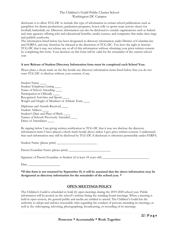disclosure is to allow TCG-DC to include this type of information in certain school publications such as pamphlets for drama productions, graduation programs, honor rolls or sports team activity sheets for football, basketball, etc. Directory information can also be disclosed to outside organizations such as federal and state agencies offering jobs and educational benefits, media sources, and companies that make class rings and publish yearbooks.

The information listed below has been designated as directory information under District of Columbia law and FERPA, and may therefore be released at the discretion of TCG-DC. You have the right to instruct TCG-DC that it may not release any or all of this information without obtaining your prior written consent by completing this form. Your decision on this form will be valid for the remainder of the current school year.

## **A new Release of Student Directory Information form must be completed each School Year.**

Please place a check mark on the line beside any directory information items listed below that you do not want TCG-DC to disclose without your consent, if any.

Student Name \_\_\_\_ Student Telephone Listing \_\_\_\_ Name of School Attending \_\_\_\_\_\_ Participation in Officially \_\_\_\_\_\_ Recognized Activities and Sports \_\_\_\_ Weight and Height of Members of Athletic Team \_\_\_\_

Diplomas and Awards Received \_\_\_\_ Student Address \_\_\_\_ Student's Date and Place of Birth \_\_\_\_ Names of Schools Previously Attended \_\_\_\_ Dates of Attendance \_\_\_\_\_

By signing below I am giving written notification to TCG-DC that it may not disclose the directory information items I have placed a check mark beside above unless I give prior written consent. I understand that such information may still be disclosed by TCG-DC if disclosure is otherwise permissible under FERPA.

Student Name (please print) \_\_\_\_\_\_\_\_\_\_\_\_\_\_\_\_\_\_\_\_\_\_\_\_\_

Parent/Guardian Name (please print)

Signature of Parent/Guardian or Student (if at least 18 years old) \_\_\_\_\_\_\_\_\_\_\_\_\_\_

Date  $\Box$ 

**\*If this form is not returned by September 15, it will be assumed that the above information may be designated as directory information for the remainder of the school year. \***

# **OPEN MEETINGS POLICY**

The Children's Guild is scheduled to hold (6) open meetings during the 2019-2020 school year. Public information will be posted on the school's website listing the standing board meetings. When a meeting is held in open session, the general public and media are entitled to attend. The Children's Guild has the authority to adopt and enforce reasonable rules regarding the conduct of persons attending its meetings, as well as the videotaping, televising, photographing, broadcasting, or recording of its meetings.